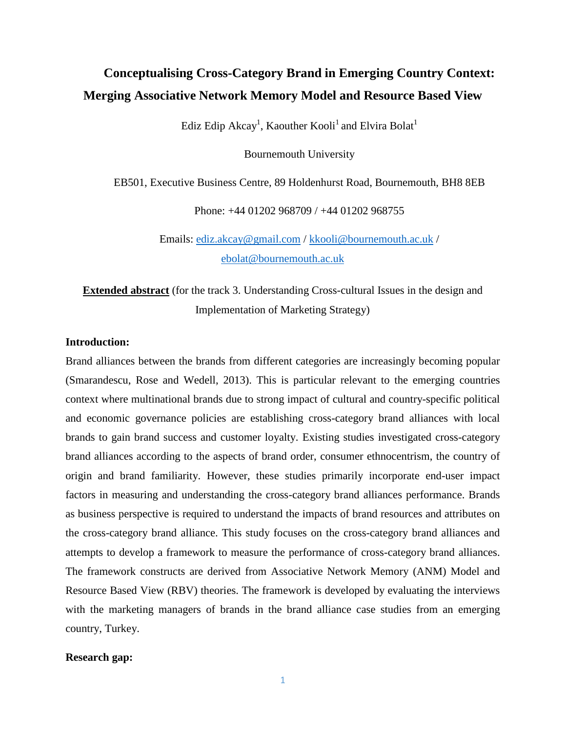# **Conceptualising Cross-Category Brand in Emerging Country Context: Merging Associative Network Memory Model and Resource Based View**

Ediz Edip Akcay<sup>1</sup>, Kaouther Kooli<sup>1</sup> and Elvira Bolat<sup>1</sup>

Bournemouth University

EB501, Executive Business Centre, 89 Holdenhurst Road, Bournemouth, BH8 8EB

Phone: +44 01202 968709 / +44 01202 968755

Emails: [ediz.akcay@gmail.com](mailto:ediz.akcay@gmail.com) / [kkooli@bournemouth.ac.uk](mailto:kkooli@bournemouth.ac.uk) / [ebolat@bournemouth.ac.uk](mailto:ebolat@bournemouth.ac.uk)

**Extended abstract** (for the track 3. Understanding Cross-cultural Issues in the design and Implementation of Marketing Strategy)

## **Introduction:**

Brand alliances between the brands from different categories are increasingly becoming popular (Smarandescu, Rose and Wedell, 2013). This is particular relevant to the emerging countries context where multinational brands due to strong impact of cultural and country-specific political and economic governance policies are establishing cross-category brand alliances with local brands to gain brand success and customer loyalty. Existing studies investigated cross-category brand alliances according to the aspects of brand order, consumer ethnocentrism, the country of origin and brand familiarity. However, these studies primarily incorporate end-user impact factors in measuring and understanding the cross-category brand alliances performance. Brands as business perspective is required to understand the impacts of brand resources and attributes on the cross-category brand alliance. This study focuses on the cross-category brand alliances and attempts to develop a framework to measure the performance of cross-category brand alliances. The framework constructs are derived from Associative Network Memory (ANM) Model and Resource Based View (RBV) theories. The framework is developed by evaluating the interviews with the marketing managers of brands in the brand alliance case studies from an emerging country, Turkey.

### **Research gap:**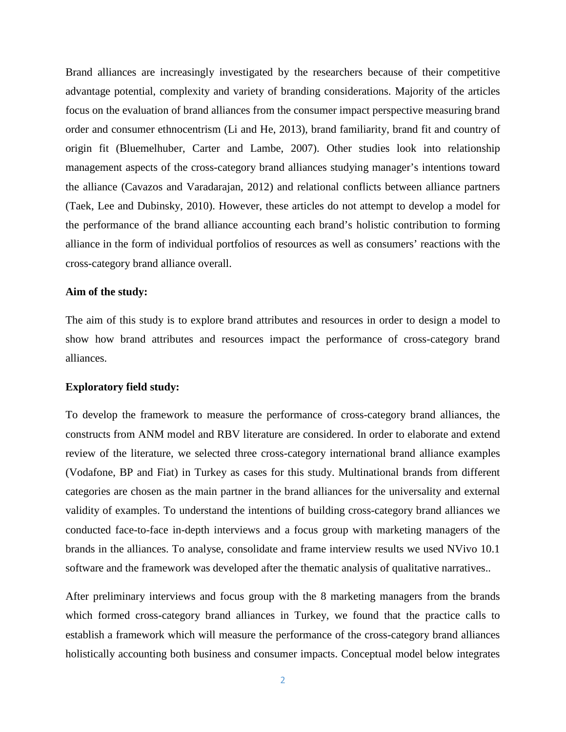Brand alliances are increasingly investigated by the researchers because of their competitive advantage potential, complexity and variety of branding considerations. Majority of the articles focus on the evaluation of brand alliances from the consumer impact perspective measuring brand order and consumer ethnocentrism (Li and He, 2013), brand familiarity, brand fit and country of origin fit (Bluemelhuber, Carter and Lambe, 2007). Other studies look into relationship management aspects of the cross-category brand alliances studying manager's intentions toward the alliance (Cavazos and Varadarajan, 2012) and relational conflicts between alliance partners (Taek, Lee and Dubinsky, 2010). However, these articles do not attempt to develop a model for the performance of the brand alliance accounting each brand's holistic contribution to forming alliance in the form of individual portfolios of resources as well as consumers' reactions with the cross-category brand alliance overall.

### **Aim of the study:**

The aim of this study is to explore brand attributes and resources in order to design a model to show how brand attributes and resources impact the performance of cross-category brand alliances.

#### **Exploratory field study:**

To develop the framework to measure the performance of cross-category brand alliances, the constructs from ANM model and RBV literature are considered. In order to elaborate and extend review of the literature, we selected three cross-category international brand alliance examples (Vodafone, BP and Fiat) in Turkey as cases for this study. Multinational brands from different categories are chosen as the main partner in the brand alliances for the universality and external validity of examples. To understand the intentions of building cross-category brand alliances we conducted face-to-face in-depth interviews and a focus group with marketing managers of the brands in the alliances. To analyse, consolidate and frame interview results we used NVivo 10.1 software and the framework was developed after the thematic analysis of qualitative narratives..

After preliminary interviews and focus group with the 8 marketing managers from the brands which formed cross-category brand alliances in Turkey, we found that the practice calls to establish a framework which will measure the performance of the cross-category brand alliances holistically accounting both business and consumer impacts. Conceptual model below integrates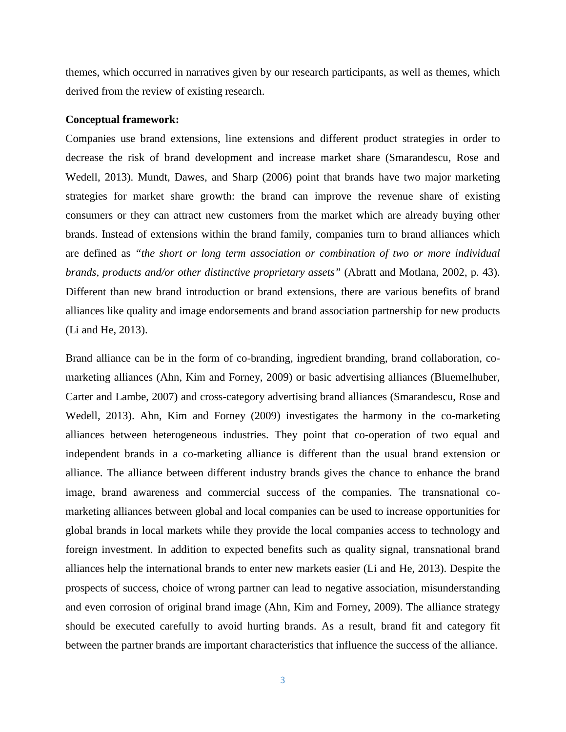themes, which occurred in narratives given by our research participants, as well as themes, which derived from the review of existing research.

#### **Conceptual framework:**

Companies use brand extensions, line extensions and different product strategies in order to decrease the risk of brand development and increase market share (Smarandescu, Rose and Wedell, 2013). Mundt, Dawes, and Sharp (2006) point that brands have two major marketing strategies for market share growth: the brand can improve the revenue share of existing consumers or they can attract new customers from the market which are already buying other brands. Instead of extensions within the brand family, companies turn to brand alliances which are defined as *"the short or long term association or combination of two or more individual brands, products and/or other distinctive proprietary assets"* (Abratt and Motlana, 2002, p. 43). Different than new brand introduction or brand extensions, there are various benefits of brand alliances like quality and image endorsements and brand association partnership for new products (Li and He, 2013).

Brand alliance can be in the form of co-branding, ingredient branding, brand collaboration, comarketing alliances (Ahn, Kim and Forney, 2009) or basic advertising alliances (Bluemelhuber, Carter and Lambe, 2007) and cross-category advertising brand alliances (Smarandescu, Rose and Wedell, 2013). Ahn, Kim and Forney (2009) investigates the harmony in the co-marketing alliances between heterogeneous industries. They point that co-operation of two equal and independent brands in a co-marketing alliance is different than the usual brand extension or alliance. The alliance between different industry brands gives the chance to enhance the brand image, brand awareness and commercial success of the companies. The transnational comarketing alliances between global and local companies can be used to increase opportunities for global brands in local markets while they provide the local companies access to technology and foreign investment. In addition to expected benefits such as quality signal, transnational brand alliances help the international brands to enter new markets easier (Li and He, 2013). Despite the prospects of success, choice of wrong partner can lead to negative association, misunderstanding and even corrosion of original brand image (Ahn, Kim and Forney, 2009). The alliance strategy should be executed carefully to avoid hurting brands. As a result, brand fit and category fit between the partner brands are important characteristics that influence the success of the alliance.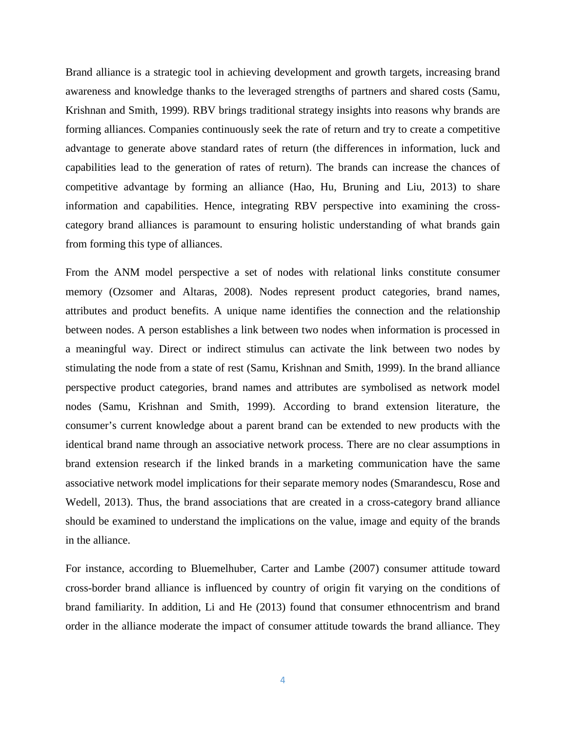Brand alliance is a strategic tool in achieving development and growth targets, increasing brand awareness and knowledge thanks to the leveraged strengths of partners and shared costs (Samu, Krishnan and Smith, 1999). RBV brings traditional strategy insights into reasons why brands are forming alliances. Companies continuously seek the rate of return and try to create a competitive advantage to generate above standard rates of return (the differences in information, luck and capabilities lead to the generation of rates of return). The brands can increase the chances of competitive advantage by forming an alliance (Hao, Hu, Bruning and Liu, 2013) to share information and capabilities. Hence, integrating RBV perspective into examining the crosscategory brand alliances is paramount to ensuring holistic understanding of what brands gain from forming this type of alliances.

From the ANM model perspective a set of nodes with relational links constitute consumer memory (Ozsomer and Altaras, 2008). Nodes represent product categories, brand names, attributes and product benefits. A unique name identifies the connection and the relationship between nodes. A person establishes a link between two nodes when information is processed in a meaningful way. Direct or indirect stimulus can activate the link between two nodes by stimulating the node from a state of rest (Samu, Krishnan and Smith, 1999). In the brand alliance perspective product categories, brand names and attributes are symbolised as network model nodes (Samu, Krishnan and Smith, 1999). According to brand extension literature, the consumer's current knowledge about a parent brand can be extended to new products with the identical brand name through an associative network process. There are no clear assumptions in brand extension research if the linked brands in a marketing communication have the same associative network model implications for their separate memory nodes (Smarandescu, Rose and Wedell, 2013). Thus, the brand associations that are created in a cross-category brand alliance should be examined to understand the implications on the value, image and equity of the brands in the alliance.

For instance, according to Bluemelhuber, Carter and Lambe (2007) consumer attitude toward cross-border brand alliance is influenced by country of origin fit varying on the conditions of brand familiarity. In addition, Li and He (2013) found that consumer ethnocentrism and brand order in the alliance moderate the impact of consumer attitude towards the brand alliance. They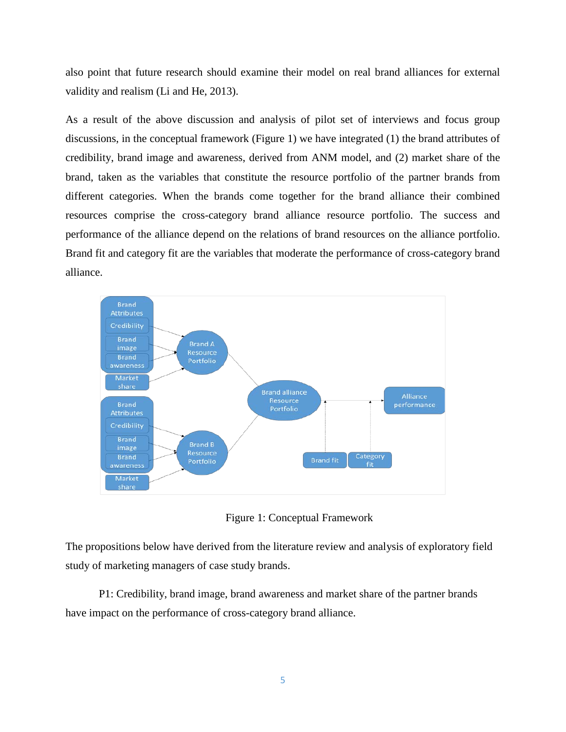also point that future research should examine their model on real brand alliances for external validity and realism (Li and He, 2013).

As a result of the above discussion and analysis of pilot set of interviews and focus group discussions, in the conceptual framework (Figure 1) we have integrated (1) the brand attributes of credibility, brand image and awareness, derived from ANM model, and (2) market share of the brand, taken as the variables that constitute the resource portfolio of the partner brands from different categories. When the brands come together for the brand alliance their combined resources comprise the cross-category brand alliance resource portfolio. The success and performance of the alliance depend on the relations of brand resources on the alliance portfolio. Brand fit and category fit are the variables that moderate the performance of cross-category brand alliance.



Figure 1: Conceptual Framework

The propositions below have derived from the literature review and analysis of exploratory field study of marketing managers of case study brands.

P1: Credibility, brand image, brand awareness and market share of the partner brands have impact on the performance of cross-category brand alliance.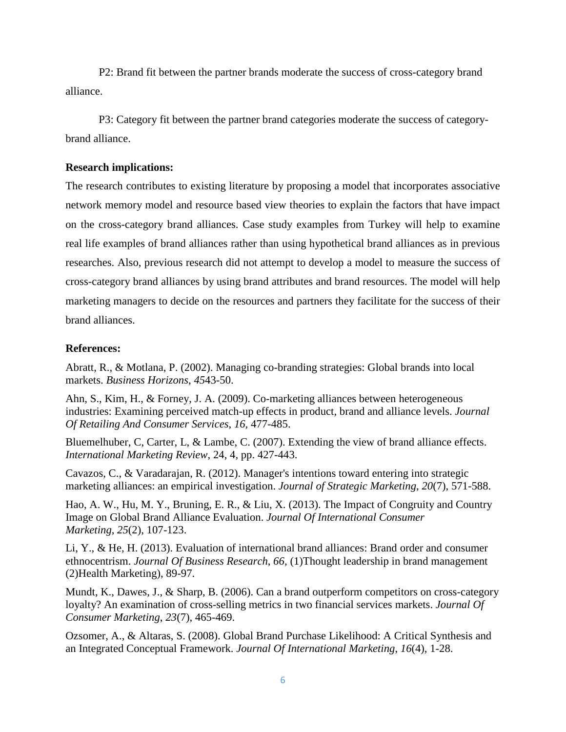P2: Brand fit between the partner brands moderate the success of cross-category brand alliance.

P3: Category fit between the partner brand categories moderate the success of categorybrand alliance.

## **Research implications:**

The research contributes to existing literature by proposing a model that incorporates associative network memory model and resource based view theories to explain the factors that have impact on the cross-category brand alliances. Case study examples from Turkey will help to examine real life examples of brand alliances rather than using hypothetical brand alliances as in previous researches. Also, previous research did not attempt to develop a model to measure the success of cross-category brand alliances by using brand attributes and brand resources. The model will help marketing managers to decide on the resources and partners they facilitate for the success of their brand alliances.

### **References:**

Abratt, R., & Motlana, P. (2002). Managing co-branding strategies: Global brands into local markets. *Business Horizons*, *45*43-50.

Ahn, S., Kim, H., & Forney, J. A. (2009). Co-marketing alliances between heterogeneous industries: Examining perceived match-up effects in product, brand and alliance levels. *Journal Of Retailing And Consumer Services*, *16,* 477-485.

Bluemelhuber, C, Carter, L, & Lambe, C. (2007). Extending the view of brand alliance effects. *International Marketing Review*, 24, 4, pp. 427-443.

Cavazos, C., & Varadarajan, R. (2012). Manager's intentions toward entering into strategic marketing alliances: an empirical investigation. *Journal of Strategic Marketing*, *20*(7), 571-588.

Hao, A. W., Hu, M. Y., Bruning, E. R., & Liu, X. (2013). The Impact of Congruity and Country Image on Global Brand Alliance Evaluation. *Journal Of International Consumer Marketing*, *25*(2), 107-123.

Li, Y., & He, H. (2013). Evaluation of international brand alliances: Brand order and consumer ethnocentrism. *Journal Of Business Research*, *66,* (1)Thought leadership in brand management (2)Health Marketing), 89-97.

Mundt, K., Dawes, J., & Sharp, B. (2006). Can a brand outperform competitors on cross-category loyalty? An examination of cross-selling metrics in two financial services markets. *Journal Of Consumer Marketing*, *23*(7), 465-469.

Ozsomer, A., & Altaras, S. (2008). Global Brand Purchase Likelihood: A Critical Synthesis and an Integrated Conceptual Framework. *Journal Of International Marketing*, *16*(4), 1-28.